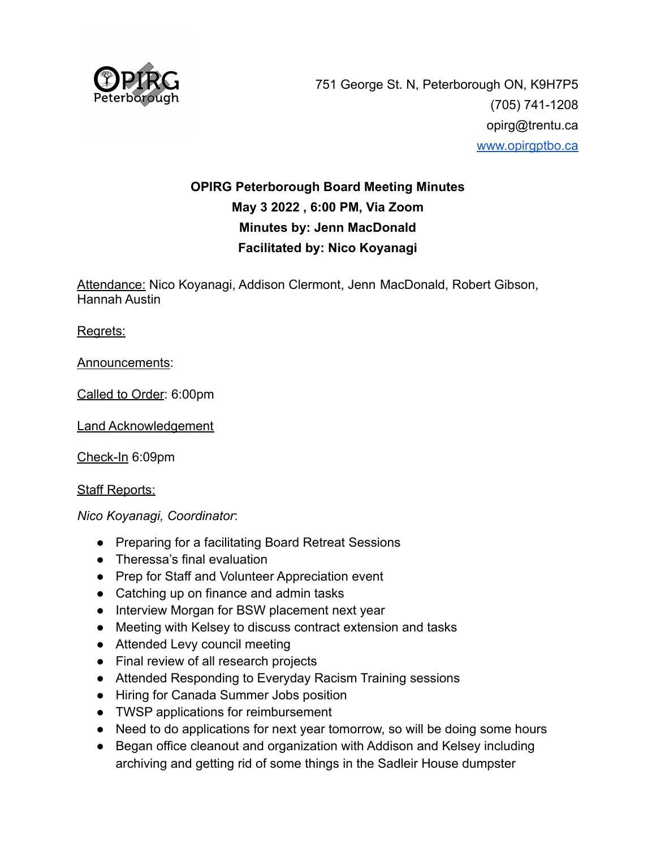

# **OPIRG Peterborough Board Meeting Minutes May 3 2022 , 6:00 PM, Via Zoom Minutes by: Jenn MacDonald Facilitated by: Nico Koyanagi**

Attendance: Nico Koyanagi, Addison Clermont, Jenn MacDonald, Robert Gibson, Hannah Austin

Regrets:

Announcements:

Called to Order: 6:00pm

Land Acknowledgement

Check-In 6:09pm

Staff Reports:

*Nico Koyanagi, Coordinator*:

- Preparing for a facilitating Board Retreat Sessions
- Theressa's final evaluation
- Prep for Staff and Volunteer Appreciation event
- Catching up on finance and admin tasks
- Interview Morgan for BSW placement next year
- Meeting with Kelsey to discuss contract extension and tasks
- Attended Levy council meeting
- Final review of all research projects
- Attended Responding to Everyday Racism Training sessions
- Hiring for Canada Summer Jobs position
- TWSP applications for reimbursement
- Need to do applications for next year tomorrow, so will be doing some hours
- Began office cleanout and organization with Addison and Kelsey including archiving and getting rid of some things in the Sadleir House dumpster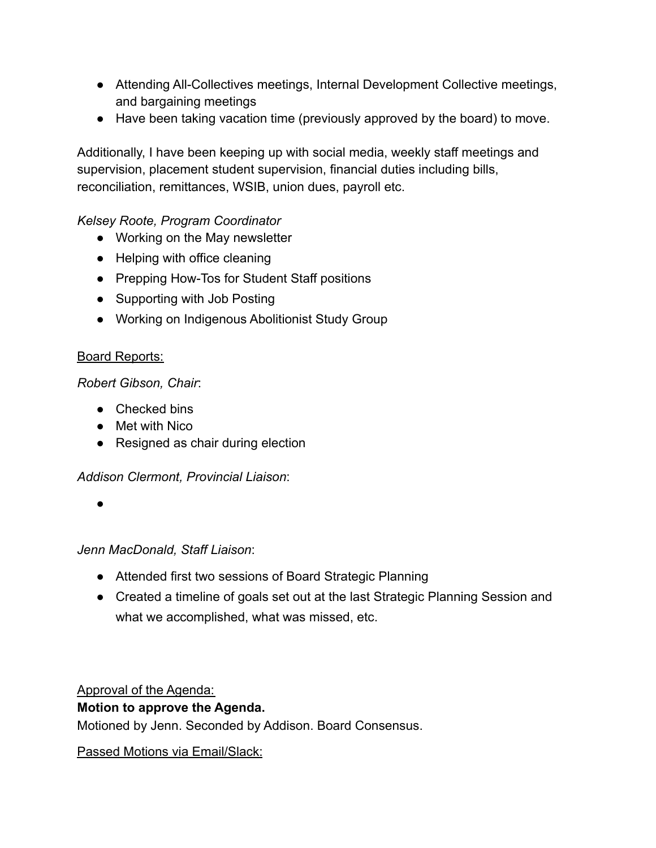- Attending All-Collectives meetings, Internal Development Collective meetings, and bargaining meetings
- Have been taking vacation time (previously approved by the board) to move.

Additionally, I have been keeping up with social media, weekly staff meetings and supervision, placement student supervision, financial duties including bills, reconciliation, remittances, WSIB, union dues, payroll etc.

## *Kelsey Roote, Program Coordinator*

- Working on the May newsletter
- Helping with office cleaning
- Prepping How-Tos for Student Staff positions
- Supporting with Job Posting
- Working on Indigenous Abolitionist Study Group

## Board Reports:

## *Robert Gibson, Chair*:

- Checked bins
- Met with Nico
- Resigned as chair during election

## *Addison Clermont, Provincial Liaison*:

●

*Jenn MacDonald, Staff Liaison*:

- Attended first two sessions of Board Strategic Planning
- Created a timeline of goals set out at the last Strategic Planning Session and what we accomplished, what was missed, etc.

Approval of the Agenda:

## **Motion to approve the Agenda.**

Motioned by Jenn. Seconded by Addison. Board Consensus.

Passed Motions via Email/Slack: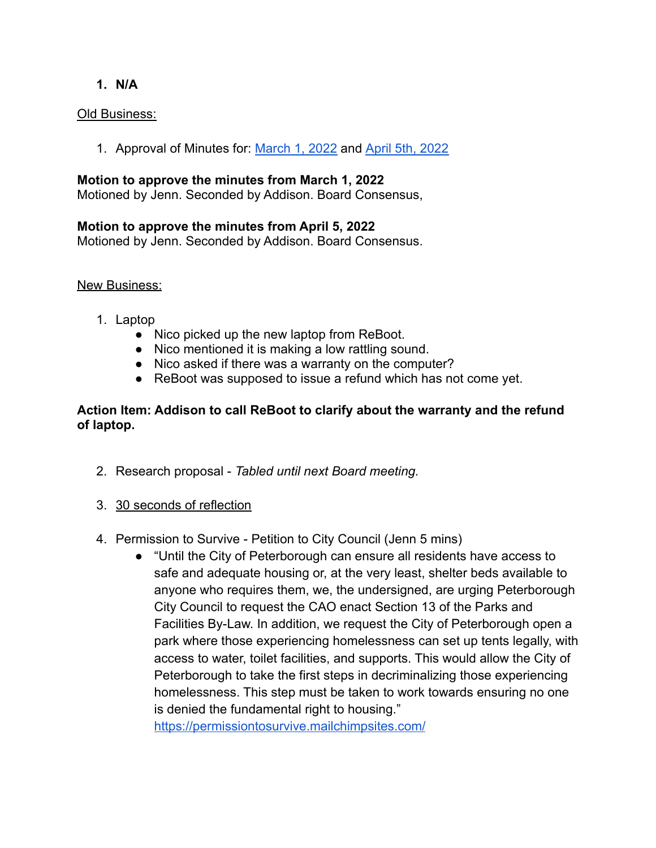#### **1. N/A**

#### Old Business:

1. Approval of Minutes for: [March 1, 2022](https://docs.google.com/document/d/1k6ZDHRJMg7aDWScifHpBjUpKz0Ylv53-9NOP_pBPXM0/edit) and [April 5th,](https://docs.google.com/document/d/1_xhUIzLdwkgWxXhw3tPmK6eoexYqEKbWka8qoOvwzQk/edit?usp=sharing) 2022

#### **Motion to approve the minutes from March 1, 2022**

Motioned by Jenn. Seconded by Addison. Board Consensus,

#### **Motion to approve the minutes from April 5, 2022**

Motioned by Jenn. Seconded by Addison. Board Consensus.

#### New Business:

- 1. Laptop
	- Nico picked up the new laptop from ReBoot.
	- Nico mentioned it is making a low rattling sound.
	- Nico asked if there was a warranty on the computer?
	- ReBoot was supposed to issue a refund which has not come yet.

#### **Action Item: Addison to call ReBoot to clarify about the warranty and the refund of laptop.**

- 2. Research proposal *Tabled until next Board meeting.*
- 3. 30 seconds of reflection
- 4. Permission to Survive Petition to City Council (Jenn 5 mins)
	- "Until the City of Peterborough can ensure all residents have access to safe and adequate housing or, at the very least, shelter beds available to anyone who requires them, we, the undersigned, are urging Peterborough City Council to request the CAO enact Section 13 of the Parks and Facilities By-Law. In addition, we request the City of Peterborough open a park where those experiencing homelessness can set up tents legally, with access to water, toilet facilities, and supports. This would allow the City of Peterborough to take the first steps in decriminalizing those experiencing homelessness. This step must be taken to work towards ensuring no one is denied the fundamental right to housing."

<https://permissiontosurvive.mailchimpsites.com/>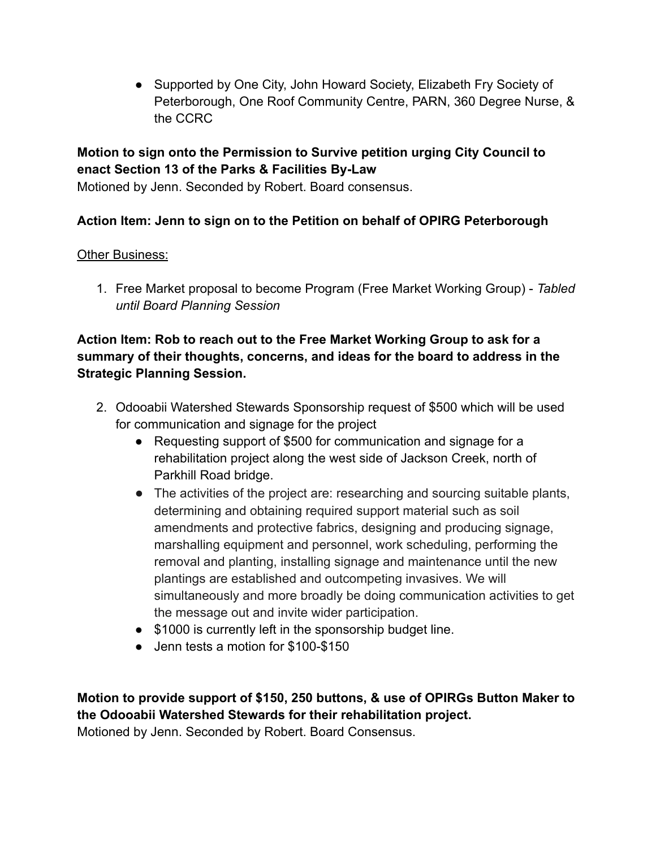• Supported by One City, John Howard Society, Elizabeth Fry Society of Peterborough, One Roof Community Centre, PARN, 360 Degree Nurse, & the CCRC

## **Motion to sign onto the Permission to Survive petition urging City Council to enact Section 13 of the Parks & Facilities By-Law**

Motioned by Jenn. Seconded by Robert. Board consensus.

# **Action Item: Jenn to sign on to the Petition on behalf of OPIRG Peterborough**

#### Other Business:

1. Free Market proposal to become Program (Free Market Working Group) - *Tabled until Board Planning Session*

## **Action Item: Rob to reach out to the Free Market Working Group to ask for a summary of their thoughts, concerns, and ideas for the board to address in the Strategic Planning Session.**

- 2. Odooabii Watershed Stewards Sponsorship request of \$500 which will be used for communication and signage for the project
	- Requesting support of \$500 for communication and signage for a rehabilitation project along the west side of Jackson Creek, north of Parkhill Road bridge.
	- The activities of the project are: researching and sourcing suitable plants, determining and obtaining required support material such as soil amendments and protective fabrics, designing and producing signage, marshalling equipment and personnel, work scheduling, performing the removal and planting, installing signage and maintenance until the new plantings are established and outcompeting invasives. We will simultaneously and more broadly be doing communication activities to get the message out and invite wider participation.
	- \$1000 is currently left in the sponsorship budget line.
	- Jenn tests a motion for \$100-\$150

**Motion to provide support of \$150, 250 buttons, & use of OPIRGs Button Maker to the Odooabii Watershed Stewards for their rehabilitation project.**

Motioned by Jenn. Seconded by Robert. Board Consensus.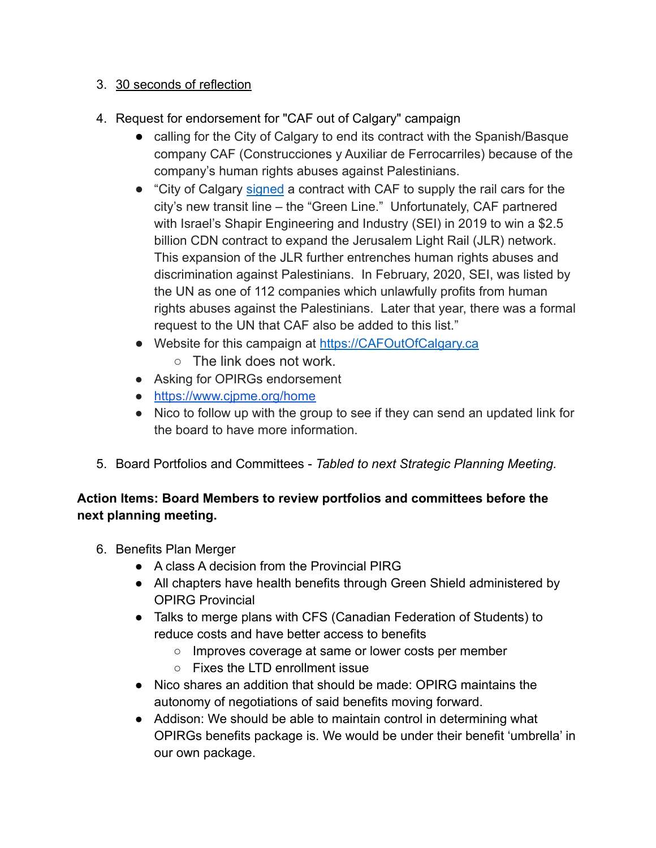## 3. 30 seconds of reflection

- 4. Request for endorsement for "CAF out of Calgary" campaign
	- calling for the City of Calgary to end its contract with the Spanish/Basque company CAF (Construcciones y Auxiliar de Ferrocarriles) because of the company's human rights abuses against Palestinians.
	- "City of Calgary [signed](https://globalnews.ca/news/8382690/calgary-green-line-lrt-contract-light-rail-vehicles-supplier/) a contract with CAF to supply the rail cars for the city's new transit line – the "Green Line." Unfortunately, CAF partnered with Israel's Shapir Engineering and Industry (SEI) in 2019 to win a \$2.5 billion CDN contract to expand the Jerusalem Light Rail (JLR) network. This expansion of the JLR further entrenches human rights abuses and discrimination against Palestinians. In February, 2020, SEI, was listed by the UN as one of 112 companies which unlawfully profits from human rights abuses against the Palestinians. Later that year, there was a formal request to the UN that CAF also be added to this list."
	- Website for this campaign at [https://CAFOutOfCalgary.ca](https://cafoutofcalgary.ca/)
		- $\circ$  The link does not work.
	- Asking for OPIRGs endorsement
	- <https://www.cjpme.org/home>
	- Nico to follow up with the group to see if they can send an updated link for the board to have more information.
- 5. Board Portfolios and Committees *Tabled to next Strategic Planning Meeting.*

# **Action Items: Board Members to review portfolios and committees before the next planning meeting.**

- 6. Benefits Plan Merger
	- A class A decision from the Provincial PIRG
	- All chapters have health benefits through Green Shield administered by OPIRG Provincial
	- Talks to merge plans with CFS (Canadian Federation of Students) to reduce costs and have better access to benefits
		- Improves coverage at same or lower costs per member
		- Fixes the LTD enrollment issue
	- Nico shares an addition that should be made: OPIRG maintains the autonomy of negotiations of said benefits moving forward.
	- Addison: We should be able to maintain control in determining what OPIRGs benefits package is. We would be under their benefit 'umbrella' in our own package.